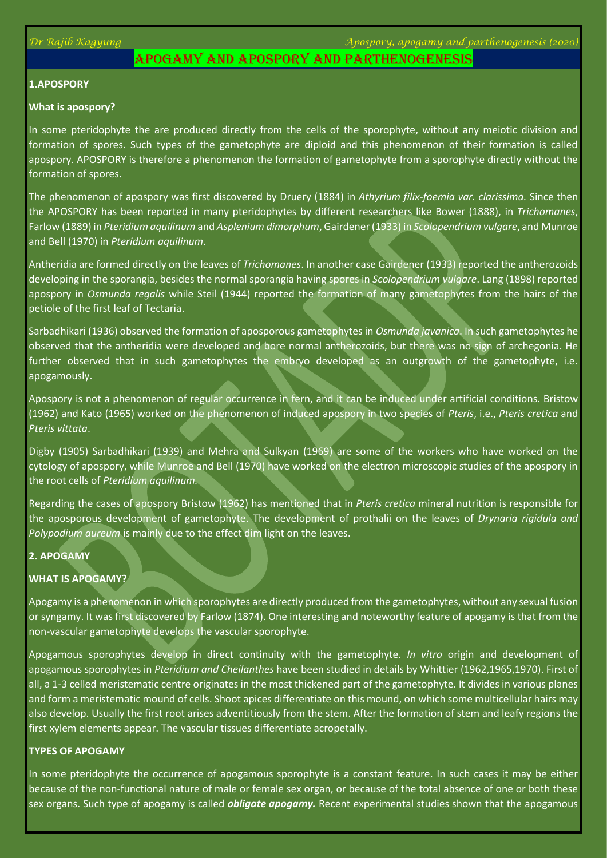*Dr Rajib Kagyung Apospory, apogamy and parthenogenesis (2020)*

# APOGAMY AND APOSPORY AND PARTHENOGENESIS

# **1.APOSPORY**

#### **What is apospory?**

In some pteridophyte the are produced directly from the cells of the sporophyte, without any meiotic division and formation of spores. Such types of the gametophyte are diploid and this phenomenon of their formation is called apospory. APOSPORY is therefore a phenomenon the formation of gametophyte from a sporophyte directly without the formation of spores.

The phenomenon of apospory was first discovered by Druery (1884) in *Athyrium filix-foemia var. clarissima.* Since then the APOSPORY has been reported in many pteridophytes by different researchers like Bower (1888), in *Trichomanes*, Farlow (1889) in *Pteridium aquilinum* and *Asplenium dimorphum*, Gairdener (1933) in *Scolopendrium vulgare*, and Munroe and Bell (1970) in *Pteridium aquilinum*.

Antheridia are formed directly on the leaves of *Trichomanes*. In another case Gairdener (1933) reported the antherozoids developing in the sporangia, besides the normal sporangia having spores in *Scolopendrium vulgare*. Lang (1898) reported apospory in *Osmunda regalis* while Steil (1944) reported the formation of many gametophytes from the hairs of the petiole of the first leaf of Tectaria.

Sarbadhikari (1936) observed the formation of aposporous gametophytes in *Osmunda javanica*. In such gametophytes he observed that the antheridia were developed and bore normal antherozoids, but there was no sign of archegonia. He further observed that in such gametophytes the embryo developed as an outgrowth of the gametophyte, i.e. apogamously.

Apospory is not a phenomenon of regular occurrence in fern, and it can be induced under artificial conditions. Bristow (1962) and Kato (1965) worked on the phenomenon of induced apospory in two species of *Pteris*, i.e., *Pteris cretica* and *Pteris vittata*.

Digby (1905) Sarbadhikari (1939) and Mehra and Sulkyan (1969) are some of the workers who have worked on the cytology of apospory, while Munroe and Bell (1970) have worked on the electron microscopic studies of the apospory in the root cells of *Pteridium aquilinum.*

Regarding the cases of apospory Bristow (1962) has mentioned that in *Pteris cretica* mineral nutrition is responsible for the aposporous development of gametophyte. The development of prothalii on the leaves of *Drynaria rigidula and Polypodium aureum* is mainly due to the effect dim light on the leaves.

### **2. APOGAMY**

### **WHAT IS APOGAMY?**

Apogamy is a phenomenon in which sporophytes are directly produced from the gametophytes, without any sexual fusion or syngamy. It was first discovered by Farlow (1874). One interesting and noteworthy feature of apogamy is that from the non-vascular gametophyte develops the vascular sporophyte.

Apogamous sporophytes develop in direct continuity with the gametophyte. *In vitro* origin and development of apogamous sporophytes in *Pteridium and Cheilanthes* have been studied in details by Whittier (1962,1965,1970). First of all, a 1-3 celled meristematic centre originates in the most thickened part of the gametophyte. It divides in various planes and form a meristematic mound of cells. Shoot apices differentiate on this mound, on which some multicellular hairs may also develop. Usually the first root arises adventitiously from the stem. After the formation of stem and leafy regions the first xylem elements appear. The vascular tissues differentiate acropetally.

### **TYPES OF APOGAMY**

In some pteridophyte the occurrence of apogamous sporophyte is a constant feature. In such cases it may be either because of the non-functional nature of male or female sex organ, or because of the total absence of one or both these sex organs. Such type of apogamy is called *obligate apogamy.* Recent experimental studies shown that the apogamous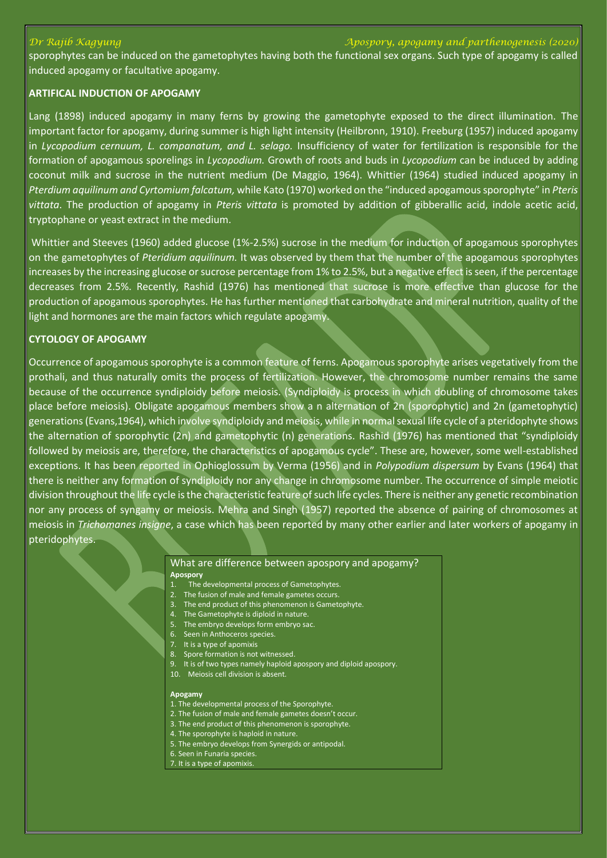#### *Dr Rajib Kagyung Apospory, apogamy and parthenogenesis (2020)*

sporophytes can be induced on the gametophytes having both the functional sex organs. Such type of apogamy is called induced apogamy or facultative apogamy.

## **ARTIFICAL INDUCTION OF APOGAMY**

Lang (1898) induced apogamy in many ferns by growing the gametophyte exposed to the direct illumination. The important factor for apogamy, during summer is high light intensity (Heilbronn, 1910). Freeburg (1957) induced apogamy in *Lycopodium cernuum, L. companatum, and L. selago.* Insufficiency of water for fertilization is responsible for the formation of apogamous sporelings in *Lycopodium.* Growth of roots and buds in *Lycopodium* can be induced by adding coconut milk and sucrose in the nutrient medium (De Maggio, 1964). Whittier (1964) studied induced apogamy in *Pterdium aquilinum and Cyrtomium falcatum,* while Kato (1970) worked on the "induced apogamous sporophyte" in *Pteris vittata*. The production of apogamy in *Pteris vittata* is promoted by addition of gibberallic acid, indole acetic acid, tryptophane or yeast extract in the medium.

Whittier and Steeves (1960) added glucose (1%-2.5%) sucrose in the medium for induction of apogamous sporophytes on the gametophytes of *Pteridium aquilinum.* It was observed by them that the number of the apogamous sporophytes increases by the increasing glucose or sucrose percentage from 1% to 2.5%, but a negative effect is seen, if the percentage decreases from 2.5%. Recently, Rashid (1976) has mentioned that sucrose is more effective than glucose for the production of apogamous sporophytes. He has further mentioned that carbohydrate and mineral nutrition, quality of the light and hormones are the main factors which regulate apogamy.

### **CYTOLOGY OF APOGAMY**

Occurrence of apogamous sporophyte is a common feature of ferns. Apogamous sporophyte arises vegetatively from the prothali, and thus naturally omits the process of fertilization. However, the chromosome number remains the same because of the occurrence syndiploidy before meiosis. (Syndiploidy is process in which doubling of chromosome takes place before meiosis). Obligate apogamous members show a n alternation of 2n (sporophytic) and 2n (gametophytic) generations(Evans,1964), which involve syndiploidy and meiosis, while in normal sexual life cycle of a pteridophyte shows the alternation of sporophytic (2n) and gametophytic (n) generations. Rashid (1976) has mentioned that "syndiploidy followed by meiosis are, therefore, the characteristics of apogamous cycle". These are, however, some well-established exceptions. It has been reported in Ophioglossum by Verma (1956) and in *Polypodium dispersum* by Evans (1964) that there is neither any formation of syndiploidy nor any change in chromosome number. The occurrence of simple meiotic division throughout the life cycle is the characteristic feature of such life cycles. There is neither any genetic recombination nor any process of syngamy or meiosis. Mehra and Singh (1957) reported the absence of pairing of chromosomes at meiosis in *Trichomanes insigne*, a case which has been reported by many other earlier and later workers of apogamy in pteridophytes.

#### What are difference between apospory and apogamy? **Apospory**

- 1. The developmental process of Gametophytes.
- 2. The fusion of male and female gametes occurs.
- 3. The end product of this phenomenon is Gametophyte.
- 4. The Gametophyte is diploid in nature.
- 5. The embryo develops form embryo sac.
- 6. Seen in Anthoceros species. 7. It is a type of apomixis
- 8. Spore formation is not witnessed.
- 9. It is of two types namely haploid apospory and diploid apospory.
- 10. Meiosis cell division is absent.

#### **Apogamy**

- 1. The developmental process of the Sporophyte.
- 2. The fusion of male and female gametes doesn't occur.
- 3. The end product of this phenomenon is sporophyte.
- 4. The sporophyte is haploid in nature.
- 5. The embryo develops from Synergids or antipodal.
- 6. Seen in Funaria species.
- 7. It is a type of apomixis.